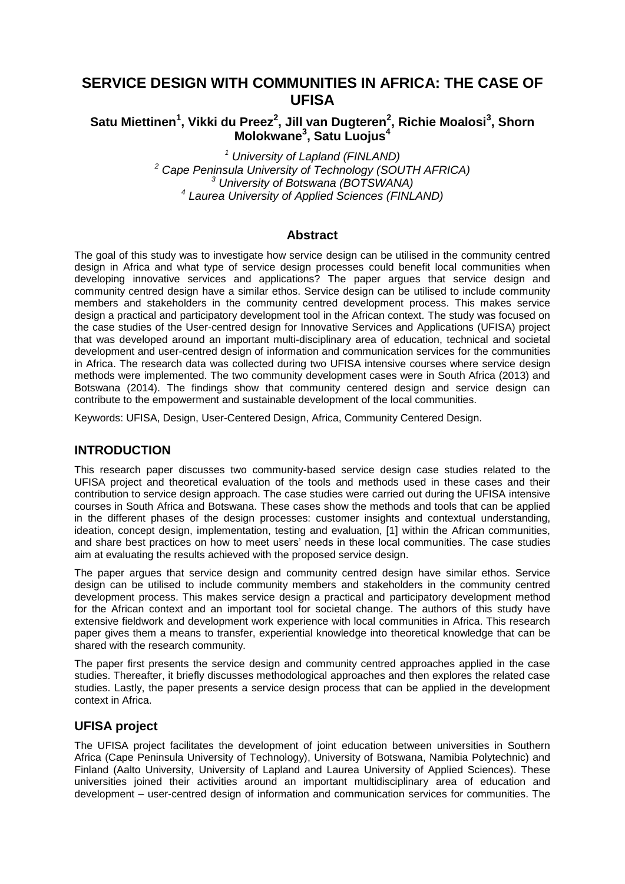# **SERVICE DESIGN WITH COMMUNITIES IN AFRICA: THE CASE OF UFISA**

# **Satu Miettinen<sup>1</sup> , Vikki du Preez<sup>2</sup> , Jill van Dugteren<sup>2</sup> , Richie Moalosi<sup>3</sup> , Shorn Molokwane<sup>3</sup> , Satu Luojus<sup>4</sup>**

 *University of Lapland (FINLAND) Cape Peninsula University of Technology (SOUTH AFRICA) University of Botswana (BOTSWANA) Laurea University of Applied Sciences (FINLAND)*

## **Abstract**

The goal of this study was to investigate how service design can be utilised in the community centred design in Africa and what type of service design processes could benefit local communities when developing innovative services and applications? The paper argues that service design and community centred design have a similar ethos. Service design can be utilised to include community members and stakeholders in the community centred development process. This makes service design a practical and participatory development tool in the African context. The study was focused on the case studies of the User-centred design for Innovative Services and Applications (UFISA) project that was developed around an important multi-disciplinary area of education, technical and societal development and user-centred design of information and communication services for the communities in Africa. The research data was collected during two UFISA intensive courses where service design methods were implemented. The two community development cases were in South Africa (2013) and Botswana (2014). The findings show that community centered design and service design can contribute to the empowerment and sustainable development of the local communities.

Keywords: UFISA, Design, User-Centered Design, Africa, Community Centered Design.

## **INTRODUCTION**

This research paper discusses two community-based service design case studies related to the UFISA project and theoretical evaluation of the tools and methods used in these cases and their contribution to service design approach. The case studies were carried out during the UFISA intensive courses in South Africa and Botswana. These cases show the methods and tools that can be applied in the different phases of the design processes: customer insights and contextual understanding, ideation, concept design, implementation, testing and evaluation, [1] within the African communities, and share best practices on how to meet users' needs in these local communities. The case studies aim at evaluating the results achieved with the proposed service design.

The paper argues that service design and community centred design have similar ethos. Service design can be utilised to include community members and stakeholders in the community centred development process. This makes service design a practical and participatory development method for the African context and an important tool for societal change. The authors of this study have extensive fieldwork and development work experience with local communities in Africa. This research paper gives them a means to transfer, experiential knowledge into theoretical knowledge that can be shared with the research community.

The paper first presents the service design and community centred approaches applied in the case studies. Thereafter, it briefly discusses methodological approaches and then explores the related case studies. Lastly, the paper presents a service design process that can be applied in the development context in Africa.

## **UFISA project**

The UFISA project facilitates the development of joint education between universities in Southern Africa (Cape Peninsula University of Technology), University of Botswana, Namibia Polytechnic) and Finland (Aalto University, University of Lapland and Laurea University of Applied Sciences). These universities joined their activities around an important multidisciplinary area of education and development – user-centred design of information and communication services for communities. The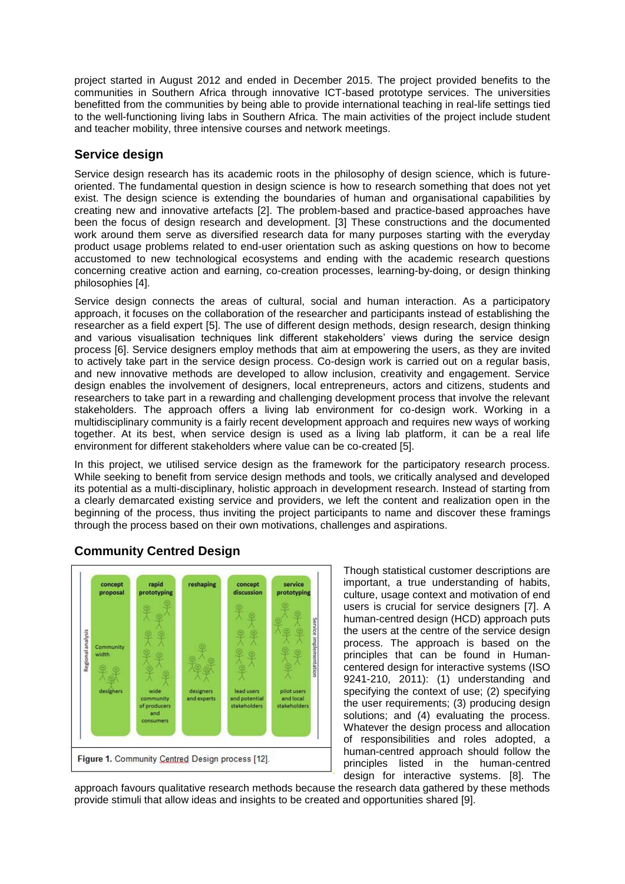project started in August 2012 and ended in December 2015. The project provided benefits to the communities in Southern Africa through innovative ICT-based prototype services. The universities benefitted from the communities by being able to provide international teaching in real-life settings tied to the well-functioning living labs in Southern Africa. The main activities of the project include student and teacher mobility, three intensive courses and network meetings.

## **Service design**

Service design research has its academic roots in the philosophy of design science, which is futureoriented. The fundamental question in design science is how to research something that does not yet exist. The design science is extending the boundaries of human and organisational capabilities by creating new and innovative artefacts [2]. The problem-based and practice-based approaches have been the focus of design research and development. [3] These constructions and the documented work around them serve as diversified research data for many purposes starting with the everyday product usage problems related to end-user orientation such as asking questions on how to become accustomed to new technological ecosystems and ending with the academic research questions concerning creative action and earning, co-creation processes, learning-by-doing, or design thinking philosophies [4].

Service design connects the areas of cultural, social and human interaction. As a participatory approach, it focuses on the collaboration of the researcher and participants instead of establishing the researcher as a field expert [5]. The use of different design methods, design research, design thinking and various visualisation techniques link different stakeholders' views during the service design process [6]. Service designers employ methods that aim at empowering the users, as they are invited to actively take part in the service design process. Co-design work is carried out on a regular basis, and new innovative methods are developed to allow inclusion, creativity and engagement. Service design enables the involvement of designers, local entrepreneurs, actors and citizens, students and researchers to take part in a rewarding and challenging development process that involve the relevant stakeholders. The approach offers a living lab environment for co-design work. Working in a multidisciplinary community is a fairly recent development approach and requires new ways of working together. At its best, when service design is used as a living lab platform, it can be a real life environment for different stakeholders where value can be co-created [5].

In this project, we utilised service design as the framework for the participatory research process. While seeking to benefit from service design methods and tools, we critically analysed and developed its potential as a multi-disciplinary, holistic approach in development research. Instead of starting from a clearly demarcated existing service and providers, we left the content and realization open in the beginning of the process, thus inviting the project participants to name and discover these framings through the process based on their own motivations, challenges and aspirations.



# **Community Centred Design**

Though statistical customer descriptions are important, a true understanding of habits, culture, usage context and motivation of end users is crucial for service designers [7]. A human-centred design (HCD) approach puts the users at the centre of the service design process. The approach is based on the principles that can be found in Humancentered design for interactive systems (ISO 9241-210, 2011): (1) understanding and specifying the context of use; (2) specifying the user requirements; (3) producing design solutions; and (4) evaluating the process. Whatever the design process and allocation of responsibilities and roles adopted, a human-centred approach should follow the principles listed in the human-centred design for interactive systems. [8]. The

approach favours qualitative research methods because the research data gathered by these methods provide stimuli that allow ideas and insights to be created and opportunities shared [9].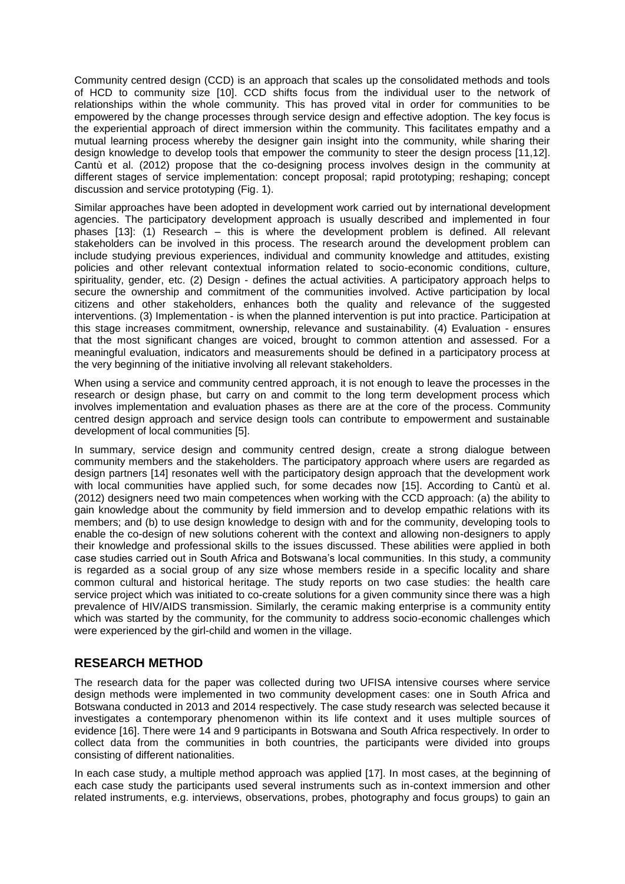Community centred design (CCD) is an approach that scales up the consolidated methods and tools of HCD to community size [10]. CCD shifts focus from the individual user to the network of relationships within the whole community. This has proved vital in order for communities to be empowered by the change processes through service design and effective adoption. The key focus is the experiential approach of direct immersion within the community. This facilitates empathy and a mutual learning process whereby the designer gain insight into the community, while sharing their design knowledge to develop tools that empower the community to steer the design process [11,12]. Cantù et al. (2012) propose that the co-designing process involves design in the community at different stages of service implementation: concept proposal; rapid prototyping; reshaping; concept discussion and service prototyping (Fig. 1).

Similar approaches have been adopted in development work carried out by international development agencies. The participatory development approach is usually described and implemented in four phases [13]: (1) Research – this is where the development problem is defined. All relevant stakeholders can be involved in this process. The research around the development problem can include studying previous experiences, individual and community knowledge and attitudes, existing policies and other relevant contextual information related to socio-economic conditions, culture, spirituality, gender, etc. (2) Design - defines the actual activities. A participatory approach helps to secure the ownership and commitment of the communities involved. Active participation by local citizens and other stakeholders, enhances both the quality and relevance of the suggested interventions. (3) Implementation - is when the planned intervention is put into practice. Participation at this stage increases commitment, ownership, relevance and sustainability. (4) Evaluation - ensures that the most significant changes are voiced, brought to common attention and assessed. For a meaningful evaluation, indicators and measurements should be defined in a participatory process at the very beginning of the initiative involving all relevant stakeholders.

When using a service and community centred approach, it is not enough to leave the processes in the research or design phase, but carry on and commit to the long term development process which involves implementation and evaluation phases as there are at the core of the process. Community centred design approach and service design tools can contribute to empowerment and sustainable development of local communities [5].

In summary, service design and community centred design, create a strong dialogue between community members and the stakeholders. The participatory approach where users are regarded as design partners [14] resonates well with the participatory design approach that the development work with local communities have applied such, for some decades now [15]. According to Cantù et al. (2012) designers need two main competences when working with the CCD approach: (a) the ability to gain knowledge about the community by field immersion and to develop empathic relations with its members; and (b) to use design knowledge to design with and for the community, developing tools to enable the co-design of new solutions coherent with the context and allowing non-designers to apply their knowledge and professional skills to the issues discussed. These abilities were applied in both case studies carried out in South Africa and Botswana's local communities. In this study, a community is regarded as a social group of any size whose members reside in a specific locality and share common cultural and historical heritage. The study reports on two case studies: the health care service project which was initiated to co-create solutions for a given community since there was a high prevalence of HIV/AIDS transmission. Similarly, the ceramic making enterprise is a community entity which was started by the community, for the community to address socio-economic challenges which were experienced by the girl-child and women in the village.

## **RESEARCH METHOD**

The research data for the paper was collected during two UFISA intensive courses where service design methods were implemented in two community development cases: one in South Africa and Botswana conducted in 2013 and 2014 respectively. The case study research was selected because it investigates a contemporary phenomenon within its life context and it uses multiple sources of evidence [16]. There were 14 and 9 participants in Botswana and South Africa respectively. In order to collect data from the communities in both countries, the participants were divided into groups consisting of different nationalities.

In each case study, a multiple method approach was applied [17]. In most cases, at the beginning of each case study the participants used several instruments such as in-context immersion and other related instruments, e.g. interviews, observations, probes, photography and focus groups) to gain an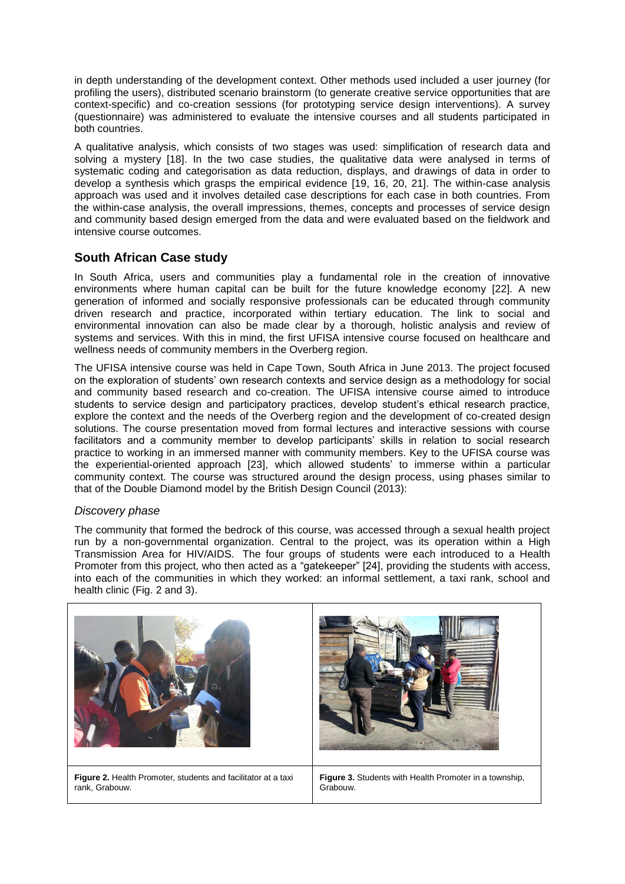in depth understanding of the development context. Other methods used included a user journey (for profiling the users), distributed scenario brainstorm (to generate creative service opportunities that are context-specific) and co-creation sessions (for prototyping service design interventions). A survey (questionnaire) was administered to evaluate the intensive courses and all students participated in both countries.

A qualitative analysis, which consists of two stages was used: simplification of research data and solving a mystery [18]. In the two case studies, the qualitative data were analysed in terms of systematic coding and categorisation as data reduction, displays, and drawings of data in order to develop a synthesis which grasps the empirical evidence [19, 16, 20, 21]. The within-case analysis approach was used and it involves detailed case descriptions for each case in both countries. From the within-case analysis, the overall impressions, themes, concepts and processes of service design and community based design emerged from the data and were evaluated based on the fieldwork and intensive course outcomes.

## **South African Case study**

In South Africa, users and communities play a fundamental role in the creation of innovative environments where human capital can be built for the future knowledge economy [22]. A new generation of informed and socially responsive professionals can be educated through community driven research and practice, incorporated within tertiary education. The link to social and environmental innovation can also be made clear by a thorough, holistic analysis and review of systems and services. With this in mind, the first UFISA intensive course focused on healthcare and wellness needs of community members in the Overberg region.

The UFISA intensive course was held in Cape Town, South Africa in June 2013. The project focused on the exploration of students' own research contexts and service design as a methodology for social and community based research and co-creation. The UFISA intensive course aimed to introduce students to service design and participatory practices, develop student's ethical research practice, explore the context and the needs of the Overberg region and the development of co-created design solutions. The course presentation moved from formal lectures and interactive sessions with course facilitators and a community member to develop participants' skills in relation to social research practice to working in an immersed manner with community members. Key to the UFISA course was the experiential-oriented approach [23], which allowed students' to immerse within a particular community context. The course was structured around the design process, using phases similar to that of the Double Diamond model by the British Design Council (2013):

#### *Discovery phase*

The community that formed the bedrock of this course, was accessed through a sexual health project run by a non-governmental organization. Central to the project, was its operation within a High Transmission Area for HIV/AIDS. The four groups of students were each introduced to a Health Promoter from this project, who then acted as a "gatekeeper" [24], providing the students with access, into each of the communities in which they worked: an informal settlement, a taxi rank, school and health clinic (Fig. 2 and 3).

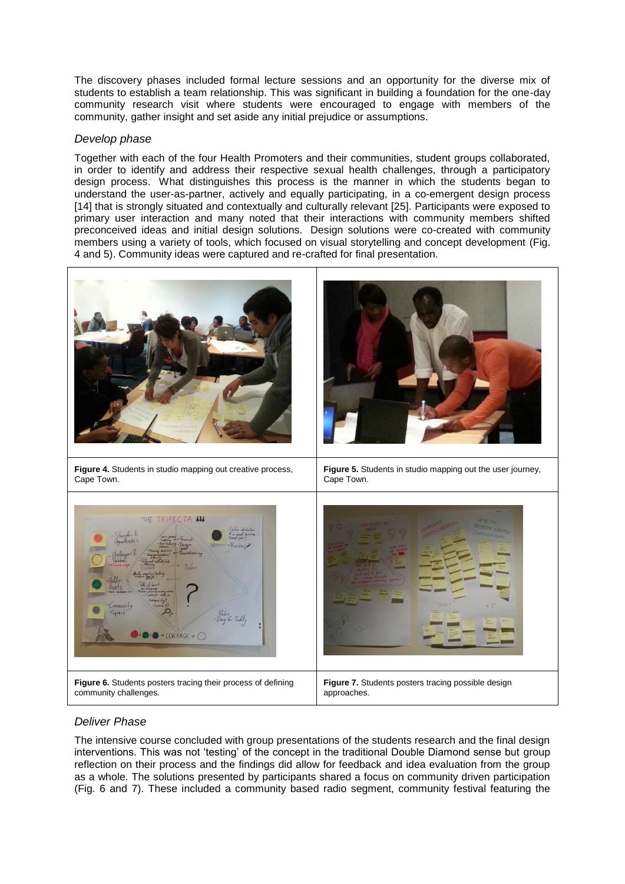The discovery phases included formal lecture sessions and an opportunity for the diverse mix of students to establish a team relationship. This was significant in building a foundation for the one-day community research visit where students were encouraged to engage with members of the community, gather insight and set aside any initial prejudice or assumptions.

#### *Develop phase*

Together with each of the four Health Promoters and their communities, student groups collaborated, in order to identify and address their respective sexual health challenges, through a participatory design process. What distinguishes this process is the manner in which the students began to understand the user-as-partner, actively and equally participating, in a co-emergent design process [14] that is strongly situated and contextually and culturally relevant [25]. Participants were exposed to primary user interaction and many noted that their interactions with community members shifted preconceived ideas and initial design solutions. Design solutions were co-created with community members using a variety of tools, which focused on visual storytelling and concept development (Fig. 4 and 5). Community ideas were captured and re-crafted for final presentation.



## *Deliver Phase*

The intensive course concluded with group presentations of the students research and the final design interventions. This was not 'testing' of the concept in the traditional Double Diamond sense but group reflection on their process and the findings did allow for feedback and idea evaluation from the group as a whole. The solutions presented by participants shared a focus on community driven participation (Fig. 6 and 7). These included a community based radio segment, community festival featuring the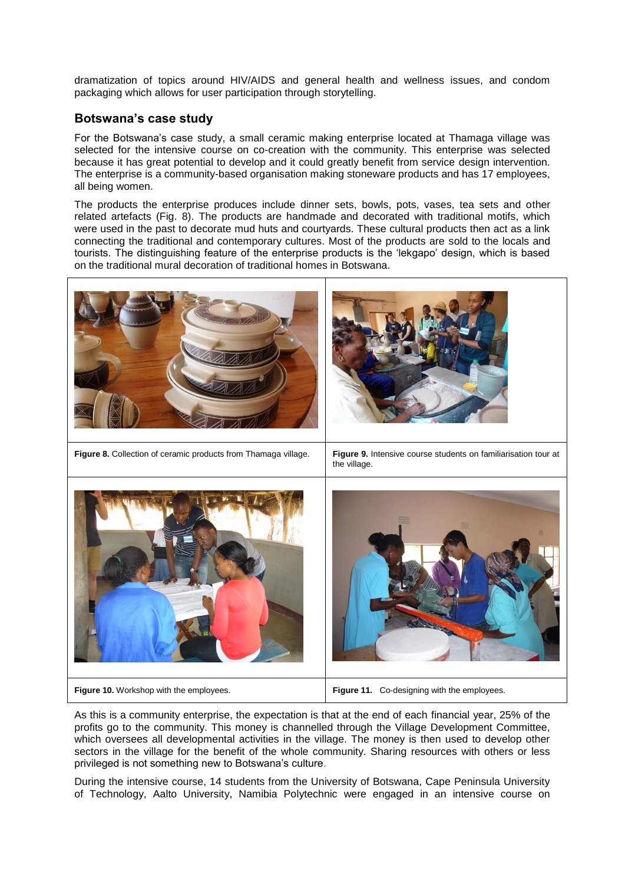dramatization of topics around HIV/AIDS and general health and wellness issues, and condom packaging which allows for user participation through storytelling.

## **Botswana's case study**

For the Botswana's case study, a small ceramic making enterprise located at Thamaga village was selected for the intensive course on co-creation with the community. This enterprise was selected because it has great potential to develop and it could greatly benefit from service design intervention. The enterprise is a community-based organisation making stoneware products and has 17 employees, all being women.

The products the enterprise produces include dinner sets, bowls, pots, vases, tea sets and other related artefacts (Fig. 8). The products are handmade and decorated with traditional motifs, which were used in the past to decorate mud huts and courtyards. These cultural products then act as a link connecting the traditional and contemporary cultures. Most of the products are sold to the locals and tourists. The distinguishing feature of the enterprise products is the 'lekgapo' design, which is based on the traditional mural decoration of traditional homes in Botswana.



As this is a community enterprise, the expectation is that at the end of each financial year, 25% of the profits go to the community. This money is channelled through the Village Development Committee, which oversees all developmental activities in the village. The money is then used to develop other sectors in the village for the benefit of the whole community. Sharing resources with others or less privileged is not something new to Botswana's culture.

During the intensive course, 14 students from the University of Botswana, Cape Peninsula University of Technology, Aalto University, Namibia Polytechnic were engaged in an intensive course on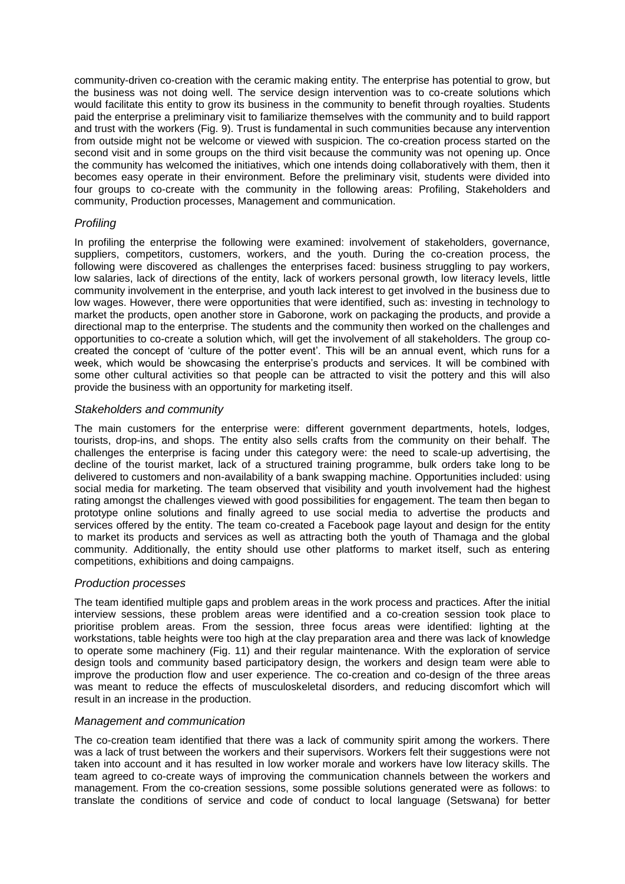community-driven co-creation with the ceramic making entity. The enterprise has potential to grow, but the business was not doing well. The service design intervention was to co-create solutions which would facilitate this entity to grow its business in the community to benefit through royalties. Students paid the enterprise a preliminary visit to familiarize themselves with the community and to build rapport and trust with the workers (Fig. 9). Trust is fundamental in such communities because any intervention from outside might not be welcome or viewed with suspicion. The co-creation process started on the second visit and in some groups on the third visit because the community was not opening up. Once the community has welcomed the initiatives, which one intends doing collaboratively with them, then it becomes easy operate in their environment. Before the preliminary visit, students were divided into four groups to co-create with the community in the following areas: Profiling, Stakeholders and community, Production processes, Management and communication.

## *Profiling*

In profiling the enterprise the following were examined: involvement of stakeholders, governance, suppliers, competitors, customers, workers, and the youth. During the co-creation process, the following were discovered as challenges the enterprises faced: business struggling to pay workers, low salaries, lack of directions of the entity, lack of workers personal growth, low literacy levels, little community involvement in the enterprise, and youth lack interest to get involved in the business due to low wages. However, there were opportunities that were identified, such as: investing in technology to market the products, open another store in Gaborone, work on packaging the products, and provide a directional map to the enterprise. The students and the community then worked on the challenges and opportunities to co-create a solution which, will get the involvement of all stakeholders. The group cocreated the concept of 'culture of the potter event'. This will be an annual event, which runs for a week, which would be showcasing the enterprise's products and services. It will be combined with some other cultural activities so that people can be attracted to visit the pottery and this will also provide the business with an opportunity for marketing itself.

#### *Stakeholders and community*

The main customers for the enterprise were: different government departments, hotels, lodges, tourists, drop-ins, and shops. The entity also sells crafts from the community on their behalf. The challenges the enterprise is facing under this category were: the need to scale-up advertising, the decline of the tourist market, lack of a structured training programme, bulk orders take long to be delivered to customers and non-availability of a bank swapping machine. Opportunities included: using social media for marketing. The team observed that visibility and youth involvement had the highest rating amongst the challenges viewed with good possibilities for engagement. The team then began to prototype online solutions and finally agreed to use social media to advertise the products and services offered by the entity. The team co-created a Facebook page layout and design for the entity to market its products and services as well as attracting both the youth of Thamaga and the global community. Additionally, the entity should use other platforms to market itself, such as entering competitions, exhibitions and doing campaigns.

#### *Production processes*

The team identified multiple gaps and problem areas in the work process and practices. After the initial interview sessions, these problem areas were identified and a co-creation session took place to prioritise problem areas. From the session, three focus areas were identified: lighting at the workstations, table heights were too high at the clay preparation area and there was lack of knowledge to operate some machinery (Fig. 11) and their regular maintenance. With the exploration of service design tools and community based participatory design, the workers and design team were able to improve the production flow and user experience. The co-creation and co-design of the three areas was meant to reduce the effects of musculoskeletal disorders, and reducing discomfort which will result in an increase in the production.

#### *Management and communication*

The co-creation team identified that there was a lack of community spirit among the workers. There was a lack of trust between the workers and their supervisors. Workers felt their suggestions were not taken into account and it has resulted in low worker morale and workers have low literacy skills. The team agreed to co-create ways of improving the communication channels between the workers and management. From the co-creation sessions, some possible solutions generated were as follows: to translate the conditions of service and code of conduct to local language (Setswana) for better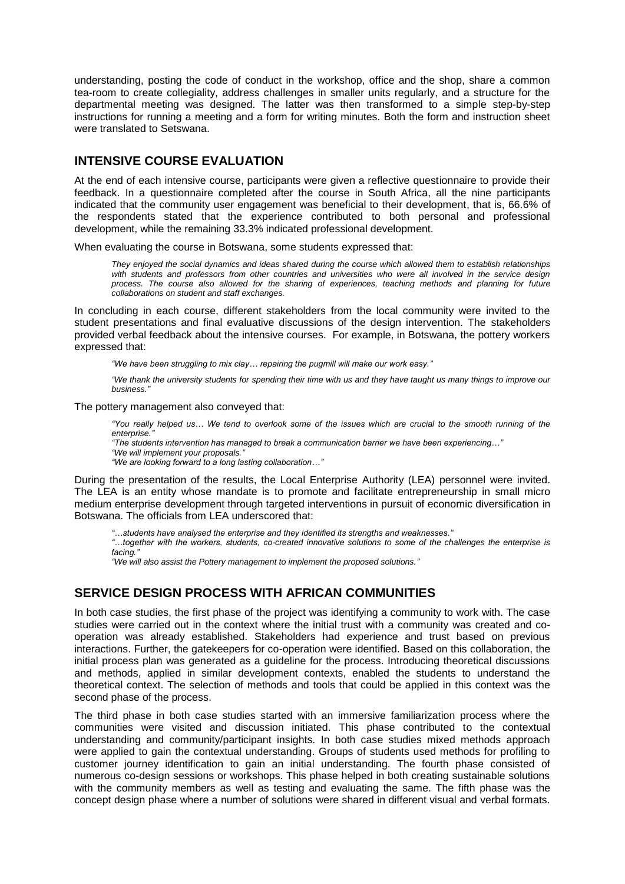understanding, posting the code of conduct in the workshop, office and the shop, share a common tea-room to create collegiality, address challenges in smaller units regularly, and a structure for the departmental meeting was designed. The latter was then transformed to a simple step-by-step instructions for running a meeting and a form for writing minutes. Both the form and instruction sheet were translated to Setswana.

## **INTENSIVE COURSE EVALUATION**

At the end of each intensive course, participants were given a reflective questionnaire to provide their feedback. In a questionnaire completed after the course in South Africa, all the nine participants indicated that the community user engagement was beneficial to their development, that is, 66.6% of the respondents stated that the experience contributed to both personal and professional development, while the remaining 33.3% indicated professional development.

When evaluating the course in Botswana, some students expressed that:

*They enjoyed the social dynamics and ideas shared during the course which allowed them to establish relationships with students and professors from other countries and universities who were all involved in the service design process. The course also allowed for the sharing of experiences, teaching methods and planning for future collaborations on student and staff exchanges.*

In concluding in each course, different stakeholders from the local community were invited to the student presentations and final evaluative discussions of the design intervention. The stakeholders provided verbal feedback about the intensive courses. For example, in Botswana, the pottery workers expressed that:

*"We have been struggling to mix clay… repairing the pugmill will make our work easy."*

*"We thank the university students for spending their time with us and they have taught us many things to improve our business."*

The pottery management also conveyed that:

*"You really helped us… We tend to overlook some of the issues which are crucial to the smooth running of the enterprise."*

*"The students intervention has managed to break a communication barrier we have been experiencing…"*

*"We will implement your proposals."*

*"We are looking forward to a long lasting collaboration…"*

During the presentation of the results, the Local Enterprise Authority (LEA) personnel were invited. The LEA is an entity whose mandate is to promote and facilitate entrepreneurship in small micro medium enterprise development through targeted interventions in pursuit of economic diversification in Botswana. The officials from LEA underscored that:

*"…students have analysed the enterprise and they identified its strengths and weaknesses."*

*"…together with the workers, students, co-created innovative solutions to some of the challenges the enterprise is facing."*

*"We will also assist the Pottery management to implement the proposed solutions."*

## **SERVICE DESIGN PROCESS WITH AFRICAN COMMUNITIES**

In both case studies, the first phase of the project was identifying a community to work with. The case studies were carried out in the context where the initial trust with a community was created and cooperation was already established. Stakeholders had experience and trust based on previous interactions. Further, the gatekeepers for co-operation were identified. Based on this collaboration, the initial process plan was generated as a guideline for the process. Introducing theoretical discussions and methods, applied in similar development contexts, enabled the students to understand the theoretical context. The selection of methods and tools that could be applied in this context was the second phase of the process.

The third phase in both case studies started with an immersive familiarization process where the communities were visited and discussion initiated. This phase contributed to the contextual understanding and community/participant insights. In both case studies mixed methods approach were applied to gain the contextual understanding. Groups of students used methods for profiling to customer journey identification to gain an initial understanding. The fourth phase consisted of numerous co-design sessions or workshops. This phase helped in both creating sustainable solutions with the community members as well as testing and evaluating the same. The fifth phase was the concept design phase where a number of solutions were shared in different visual and verbal formats.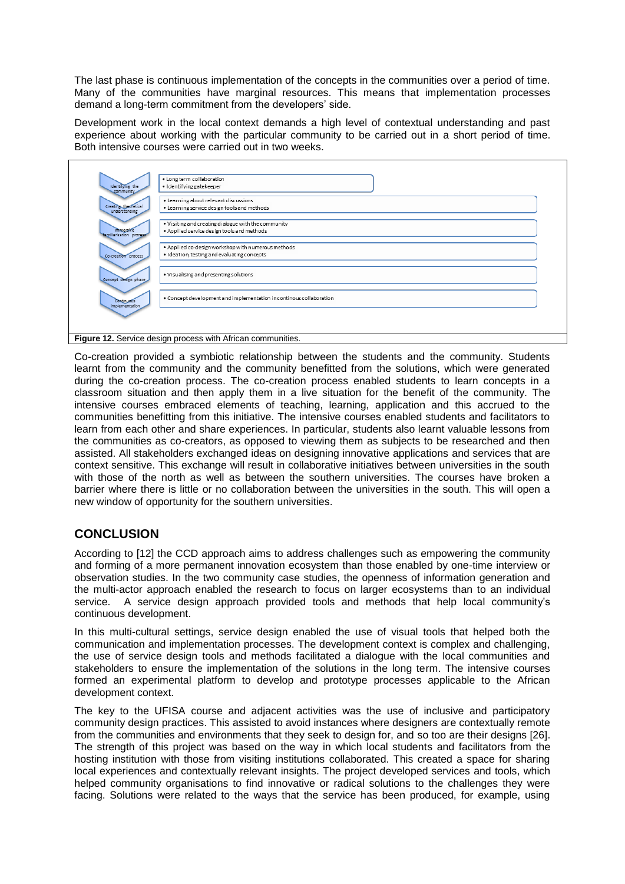The last phase is continuous implementation of the concepts in the communities over a period of time. Many of the communities have marginal resources. This means that implementation processes demand a long-term commitment from the developers' side.

Development work in the local context demands a high level of contextual understanding and past experience about working with the particular community to be carried out in a short period of time. Both intensive courses were carried out in two weeks.

| Identifying the<br>community                | · Long term collaboration<br>· Identifying gatekeeper                                             |  |
|---------------------------------------------|---------------------------------------------------------------------------------------------------|--|
| Creating theoretical<br>understanding       | . Learning about relevant discussions<br>. Learning service design tools and methods              |  |
| <b>Immersive</b><br>familiarisation process | . Visiting and creating dialogue with the community<br>. Applied service design tools and methods |  |
| Co-creation process                         | . Applied co-design workshop with numerous methods<br>· Ideation, testing and evaluating concepts |  |
| Concept design phase                        | . Visualising and presenting solutions                                                            |  |
| <b>Continueds</b><br>implementation         | . Concept development and implementation in continous collaboration                               |  |
|                                             |                                                                                                   |  |
|                                             | Figure 12. Service design process with African communities.                                       |  |

Co-creation provided a symbiotic relationship between the students and the community. Students learnt from the community and the community benefitted from the solutions, which were generated during the co-creation process. The co-creation process enabled students to learn concepts in a classroom situation and then apply them in a live situation for the benefit of the community. The intensive courses embraced elements of teaching, learning, application and this accrued to the communities benefitting from this initiative. The intensive courses enabled students and facilitators to learn from each other and share experiences. In particular, students also learnt valuable lessons from the communities as co-creators, as opposed to viewing them as subjects to be researched and then assisted. All stakeholders exchanged ideas on designing innovative applications and services that are context sensitive. This exchange will result in collaborative initiatives between universities in the south with those of the north as well as between the southern universities. The courses have broken a barrier where there is little or no collaboration between the universities in the south. This will open a new window of opportunity for the southern universities.

# **CONCLUSION**

According to [12] the CCD approach aims to address challenges such as empowering the community and forming of a more permanent innovation ecosystem than those enabled by one-time interview or observation studies. In the two community case studies, the openness of information generation and the multi-actor approach enabled the research to focus on larger ecosystems than to an individual service. A service design approach provided tools and methods that help local community's continuous development.

In this multi-cultural settings, service design enabled the use of visual tools that helped both the communication and implementation processes. The development context is complex and challenging, the use of service design tools and methods facilitated a dialogue with the local communities and stakeholders to ensure the implementation of the solutions in the long term. The intensive courses formed an experimental platform to develop and prototype processes applicable to the African development context.

The key to the UFISA course and adjacent activities was the use of inclusive and participatory community design practices. This assisted to avoid instances where designers are contextually remote from the communities and environments that they seek to design for, and so too are their designs [26]. The strength of this project was based on the way in which local students and facilitators from the hosting institution with those from visiting institutions collaborated. This created a space for sharing local experiences and contextually relevant insights. The project developed services and tools, which helped community organisations to find innovative or radical solutions to the challenges they were facing. Solutions were related to the ways that the service has been produced, for example, using